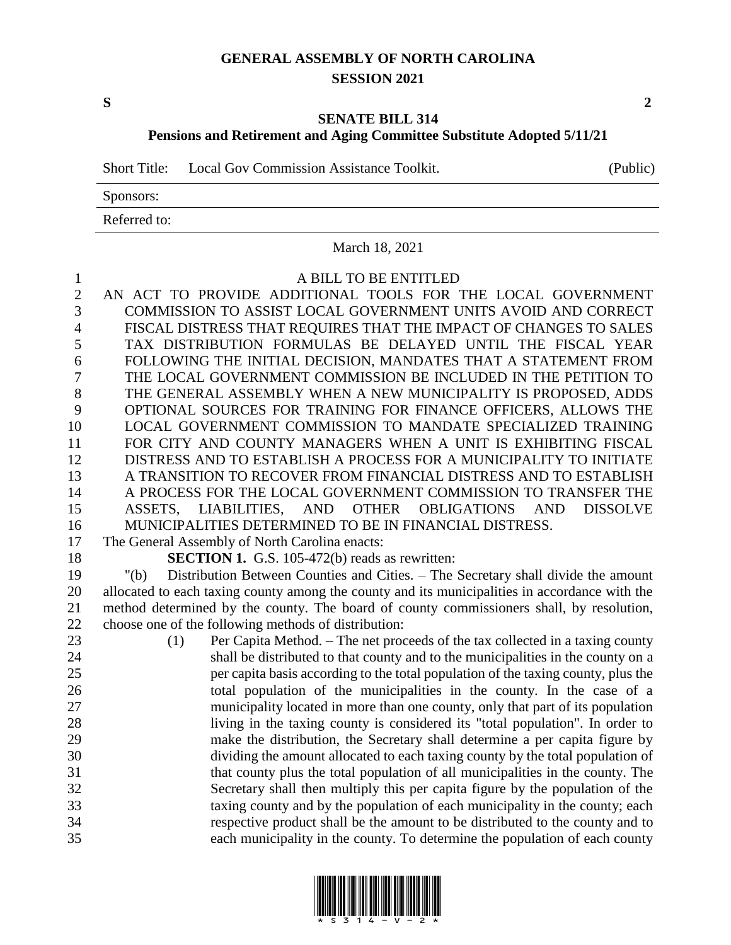### **GENERAL ASSEMBLY OF NORTH CAROLINA SESSION 2021**

**S 2**

#### **SENATE BILL 314**

**Pensions and Retirement and Aging Committee Substitute Adopted 5/11/21**

Short Title: Local Gov Commission Assistance Toolkit. (Public)

Sponsors:

Referred to:

#### March 18, 2021

 A BILL TO BE ENTITLED AN ACT TO PROVIDE ADDITIONAL TOOLS FOR THE LOCAL GOVERNMENT COMMISSION TO ASSIST LOCAL GOVERNMENT UNITS AVOID AND CORRECT FISCAL DISTRESS THAT REQUIRES THAT THE IMPACT OF CHANGES TO SALES TAX DISTRIBUTION FORMULAS BE DELAYED UNTIL THE FISCAL YEAR FOLLOWING THE INITIAL DECISION, MANDATES THAT A STATEMENT FROM THE LOCAL GOVERNMENT COMMISSION BE INCLUDED IN THE PETITION TO THE GENERAL ASSEMBLY WHEN A NEW MUNICIPALITY IS PROPOSED, ADDS OPTIONAL SOURCES FOR TRAINING FOR FINANCE OFFICERS, ALLOWS THE LOCAL GOVERNMENT COMMISSION TO MANDATE SPECIALIZED TRAINING FOR CITY AND COUNTY MANAGERS WHEN A UNIT IS EXHIBITING FISCAL DISTRESS AND TO ESTABLISH A PROCESS FOR A MUNICIPALITY TO INITIATE 13 A TRANSITION TO RECOVER FROM FINANCIAL DISTRESS AND TO ESTABLISH 14 A PROCESS FOR THE LOCAL GOVERNMENT COMMISSION TO TRANSFER THE ASSETS, LIABILITIES, AND OTHER OBLIGATIONS AND DISSOLVE MUNICIPALITIES DETERMINED TO BE IN FINANCIAL DISTRESS. The General Assembly of North Carolina enacts: **SECTION 1.** G.S. 105-472(b) reads as rewritten: "(b) Distribution Between Counties and Cities. – The Secretary shall divide the amount allocated to each taxing county among the county and its municipalities in accordance with the method determined by the county. The board of county commissioners shall, by resolution, choose one of the following methods of distribution: (1) Per Capita Method. – The net proceeds of the tax collected in a taxing county shall be distributed to that county and to the municipalities in the county on a per capita basis according to the total population of the taxing county, plus the total population of the municipalities in the county. In the case of a municipality located in more than one county, only that part of its population living in the taxing county is considered its "total population". In order to make the distribution, the Secretary shall determine a per capita figure by dividing the amount allocated to each taxing county by the total population of that county plus the total population of all municipalities in the county. The Secretary shall then multiply this per capita figure by the population of the taxing county and by the population of each municipality in the county; each respective product shall be the amount to be distributed to the county and to each municipality in the county. To determine the population of each county

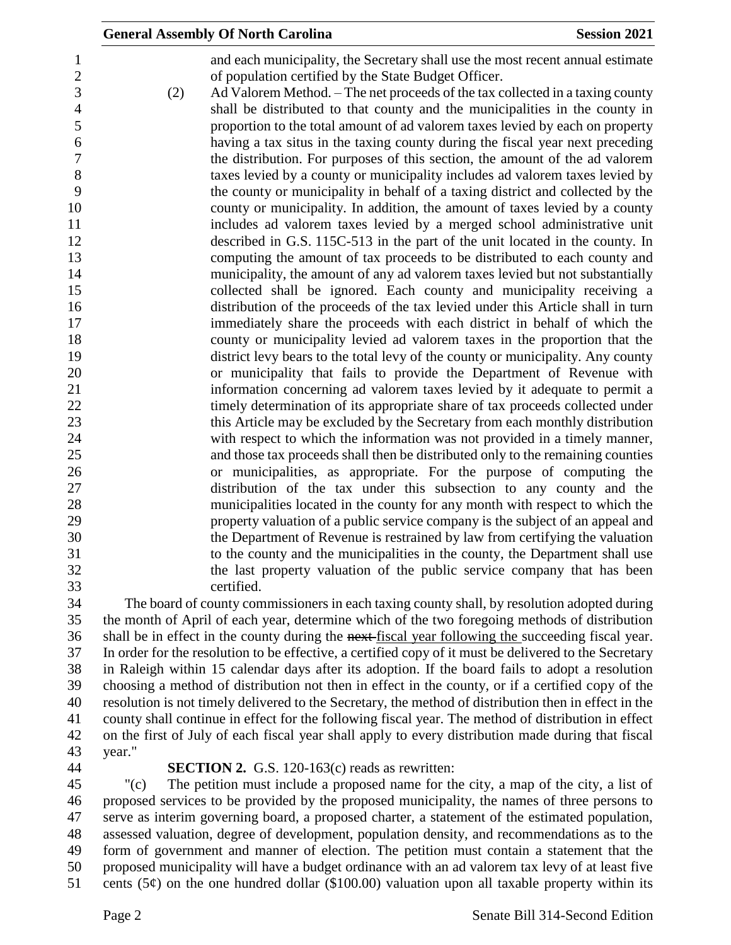|                |     | <b>General Assembly Of North Carolina</b>                                                     | <b>Session 2021</b> |
|----------------|-----|-----------------------------------------------------------------------------------------------|---------------------|
| $\mathbf{1}$   |     | and each municipality, the Secretary shall use the most recent annual estimate                |                     |
| $\sqrt{2}$     |     | of population certified by the State Budget Officer.                                          |                     |
| 3              | (2) | Ad Valorem Method. – The net proceeds of the tax collected in a taxing county                 |                     |
| $\overline{4}$ |     | shall be distributed to that county and the municipalities in the county in                   |                     |
| 5              |     | proportion to the total amount of ad valorem taxes levied by each on property                 |                     |
| 6              |     | having a tax situs in the taxing county during the fiscal year next preceding                 |                     |
| $\tau$         |     | the distribution. For purposes of this section, the amount of the ad valorem                  |                     |
| 8              |     | taxes levied by a county or municipality includes ad valorem taxes levied by                  |                     |
| 9              |     | the county or municipality in behalf of a taxing district and collected by the                |                     |
| 10             |     | county or municipality. In addition, the amount of taxes levied by a county                   |                     |
| 11             |     | includes ad valorem taxes levied by a merged school administrative unit                       |                     |
| 12             |     | described in G.S. 115C-513 in the part of the unit located in the county. In                  |                     |
| 13             |     | computing the amount of tax proceeds to be distributed to each county and                     |                     |
| 14             |     | municipality, the amount of any ad valorem taxes levied but not substantially                 |                     |
| 15             |     | collected shall be ignored. Each county and municipality receiving a                          |                     |
| 16             |     | distribution of the proceeds of the tax levied under this Article shall in turn               |                     |
| 17             |     | immediately share the proceeds with each district in behalf of which the                      |                     |
| 18             |     | county or municipality levied ad valorem taxes in the proportion that the                     |                     |
| 19             |     | district levy bears to the total levy of the county or municipality. Any county               |                     |
| 20             |     | or municipality that fails to provide the Department of Revenue with                          |                     |
| 21             |     | information concerning ad valorem taxes levied by it adequate to permit a                     |                     |
| 22             |     | timely determination of its appropriate share of tax proceeds collected under                 |                     |
| 23             |     | this Article may be excluded by the Secretary from each monthly distribution                  |                     |
| 24             |     | with respect to which the information was not provided in a timely manner,                    |                     |
| 25             |     | and those tax proceeds shall then be distributed only to the remaining counties               |                     |
| 26             |     | or municipalities, as appropriate. For the purpose of computing the                           |                     |
| 27             |     | distribution of the tax under this subsection to any county and the                           |                     |
| 28             |     | municipalities located in the county for any month with respect to which the                  |                     |
| 29             |     | property valuation of a public service company is the subject of an appeal and                |                     |
| 30             |     | the Department of Revenue is restrained by law from certifying the valuation                  |                     |
| 31             |     | to the county and the municipalities in the county, the Department shall use                  |                     |
| 32             |     | the last property valuation of the public service company that has been                       |                     |
| 33             |     | certified.                                                                                    |                     |
| 34             |     | The board of county commissioners in each taxing county shall, by resolution adopted during   |                     |
| 25             |     | the month of April of each year, determine which of the two foregoing methods of distribution |                     |

 the month of April of each year, determine which of the two foregoing methods of distribution 36 shall be in effect in the county during the next-fiscal year following the succeeding fiscal year. In order for the resolution to be effective, a certified copy of it must be delivered to the Secretary in Raleigh within 15 calendar days after its adoption. If the board fails to adopt a resolution choosing a method of distribution not then in effect in the county, or if a certified copy of the resolution is not timely delivered to the Secretary, the method of distribution then in effect in the county shall continue in effect for the following fiscal year. The method of distribution in effect on the first of July of each fiscal year shall apply to every distribution made during that fiscal year."

## **SECTION 2.** G.S. 120-163(c) reads as rewritten:

 "(c) The petition must include a proposed name for the city, a map of the city, a list of proposed services to be provided by the proposed municipality, the names of three persons to serve as interim governing board, a proposed charter, a statement of the estimated population, assessed valuation, degree of development, population density, and recommendations as to the form of government and manner of election. The petition must contain a statement that the proposed municipality will have a budget ordinance with an ad valorem tax levy of at least five 51 cents (5 $\varphi$ ) on the one hundred dollar (\$100.00) valuation upon all taxable property within its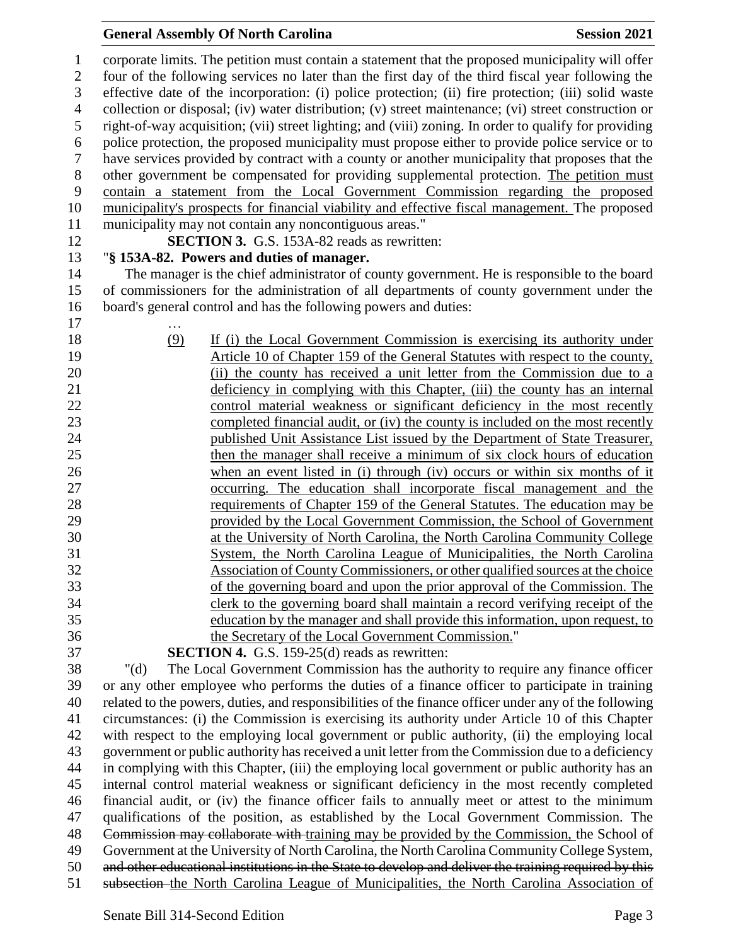### **General Assembly Of North Carolina Session 2021**

 corporate limits. The petition must contain a statement that the proposed municipality will offer four of the following services no later than the first day of the third fiscal year following the effective date of the incorporation: (i) police protection; (ii) fire protection; (iii) solid waste collection or disposal; (iv) water distribution; (v) street maintenance; (vi) street construction or right-of-way acquisition; (vii) street lighting; and (viii) zoning. In order to qualify for providing police protection, the proposed municipality must propose either to provide police service or to have services provided by contract with a county or another municipality that proposes that the other government be compensated for providing supplemental protection. The petition must contain a statement from the Local Government Commission regarding the proposed municipality's prospects for financial viability and effective fiscal management. The proposed municipality may not contain any noncontiguous areas." **SECTION 3.** G.S. 153A-82 reads as rewritten: "**§ 153A-82. Powers and duties of manager.** The manager is the chief administrator of county government. He is responsible to the board of commissioners for the administration of all departments of county government under the board's general control and has the following powers and duties: … (9) If (i) the Local Government Commission is exercising its authority under Article 10 of Chapter 159 of the General Statutes with respect to the county, (ii) the county has received a unit letter from the Commission due to a deficiency in complying with this Chapter, (iii) the county has an internal control material weakness or significant deficiency in the most recently completed financial audit, or (iv) the county is included on the most recently published Unit Assistance List issued by the Department of State Treasurer, then the manager shall receive a minimum of six clock hours of education when an event listed in (i) through (iv) occurs or within six months of it occurring. The education shall incorporate fiscal management and the requirements of Chapter 159 of the General Statutes. The education may be provided by the Local Government Commission, the School of Government at the University of North Carolina, the North Carolina Community College System, the North Carolina League of Municipalities, the North Carolina Association of County Commissioners, or other qualified sources at the choice of the governing board and upon the prior approval of the Commission. The clerk to the governing board shall maintain a record verifying receipt of the education by the manager and shall provide this information, upon request, to the Secretary of the Local Government Commission." **SECTION 4.** G.S. 159-25(d) reads as rewritten: "(d) The Local Government Commission has the authority to require any finance officer or any other employee who performs the duties of a finance officer to participate in training related to the powers, duties, and responsibilities of the finance officer under any of the following circumstances: (i) the Commission is exercising its authority under Article 10 of this Chapter with respect to the employing local government or public authority, (ii) the employing local government or public authority has received a unit letter from the Commission due to a deficiency in complying with this Chapter, (iii) the employing local government or public authority has an internal control material weakness or significant deficiency in the most recently completed financial audit, or (iv) the finance officer fails to annually meet or attest to the minimum qualifications of the position, as established by the Local Government Commission. The Commission may collaborate with training may be provided by the Commission, the School of Government at the University of North Carolina, the North Carolina Community College System,

 and other educational institutions in the State to develop and deliver the training required by this subsection the North Carolina League of Municipalities, the North Carolina Association of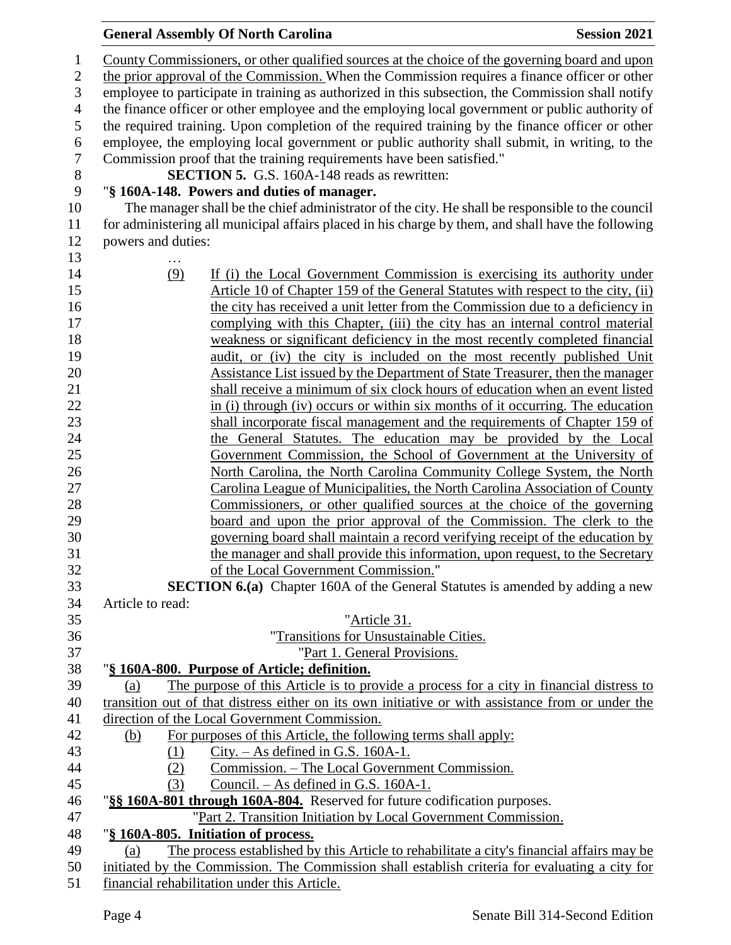# **General Assembly Of North Carolina Session 2021**

| $\mathbf{1}$     | County Commissioners, or other qualified sources at the choice of the governing board and upon                                                                                                     |  |  |
|------------------|----------------------------------------------------------------------------------------------------------------------------------------------------------------------------------------------------|--|--|
| $\mathbf{2}$     | the prior approval of the Commission. When the Commission requires a finance officer or other                                                                                                      |  |  |
| 3                | employee to participate in training as authorized in this subsection, the Commission shall notify                                                                                                  |  |  |
| $\overline{4}$   | the finance officer or other employee and the employing local government or public authority of                                                                                                    |  |  |
| 5                | the required training. Upon completion of the required training by the finance officer or other                                                                                                    |  |  |
| 6                | employee, the employing local government or public authority shall submit, in writing, to the                                                                                                      |  |  |
| $\boldsymbol{7}$ | Commission proof that the training requirements have been satisfied."                                                                                                                              |  |  |
| $8\,$            | <b>SECTION 5.</b> G.S. 160A-148 reads as rewritten:                                                                                                                                                |  |  |
| 9                | "§ 160A-148. Powers and duties of manager.                                                                                                                                                         |  |  |
| 10               | The manager shall be the chief administrator of the city. He shall be responsible to the council                                                                                                   |  |  |
| 11               | for administering all municipal affairs placed in his charge by them, and shall have the following                                                                                                 |  |  |
| 12               | powers and duties:                                                                                                                                                                                 |  |  |
| 13               |                                                                                                                                                                                                    |  |  |
| 14               | (9)<br>If (i) the Local Government Commission is exercising its authority under                                                                                                                    |  |  |
| 15               | Article 10 of Chapter 159 of the General Statutes with respect to the city, (ii)                                                                                                                   |  |  |
| 16               | the city has received a unit letter from the Commission due to a deficiency in                                                                                                                     |  |  |
| 17               | complying with this Chapter, (iii) the city has an internal control material                                                                                                                       |  |  |
| 18               | weakness or significant deficiency in the most recently completed financial                                                                                                                        |  |  |
| 19               | audit, or (iv) the city is included on the most recently published Unit                                                                                                                            |  |  |
| 20               | Assistance List issued by the Department of State Treasurer, then the manager                                                                                                                      |  |  |
| 21               | shall receive a minimum of six clock hours of education when an event listed                                                                                                                       |  |  |
| 22               | in (i) through (iv) occurs or within six months of it occurring. The education                                                                                                                     |  |  |
| 23               | shall incorporate fiscal management and the requirements of Chapter 159 of                                                                                                                         |  |  |
| 24               | the General Statutes. The education may be provided by the Local                                                                                                                                   |  |  |
| 25               | Government Commission, the School of Government at the University of                                                                                                                               |  |  |
| 26               | North Carolina, the North Carolina Community College System, the North                                                                                                                             |  |  |
| 27               | Carolina League of Municipalities, the North Carolina Association of County                                                                                                                        |  |  |
| 28               | Commissioners, or other qualified sources at the choice of the governing                                                                                                                           |  |  |
| 29               | board and upon the prior approval of the Commission. The clerk to the                                                                                                                              |  |  |
| 30               | governing board shall maintain a record verifying receipt of the education by                                                                                                                      |  |  |
| 31               | the manager and shall provide this information, upon request, to the Secretary                                                                                                                     |  |  |
| 32               | of the Local Government Commission."                                                                                                                                                               |  |  |
| 33               | <b>SECTION 6.(a)</b> Chapter 160A of the General Statutes is amended by adding a new                                                                                                               |  |  |
| 34               | Article to read:                                                                                                                                                                                   |  |  |
| 35               | "Article 31.                                                                                                                                                                                       |  |  |
| 36               | "Transitions for Unsustainable Cities.                                                                                                                                                             |  |  |
| 37               | "Part 1. General Provisions.                                                                                                                                                                       |  |  |
| 38               | "§ 160A-800. Purpose of Article; definition.                                                                                                                                                       |  |  |
| 39               | The purpose of this Article is to provide a process for a city in financial distress to<br>(a)                                                                                                     |  |  |
| 40               | transition out of that distress either on its own initiative or with assistance from or under the                                                                                                  |  |  |
| 41               | direction of the Local Government Commission.                                                                                                                                                      |  |  |
| 42               | For purposes of this Article, the following terms shall apply:<br>(b)                                                                                                                              |  |  |
| 43               | $City. - As defined in G.S. 160A-1.$<br>(1)                                                                                                                                                        |  |  |
| 44               | Commission. – The Local Government Commission.<br>(2)                                                                                                                                              |  |  |
| 45               | Council. $-$ As defined in G.S. 160A-1.<br>(3)                                                                                                                                                     |  |  |
| 46               | "§§ 160A-801 through 160A-804. Reserved for future codification purposes.                                                                                                                          |  |  |
| 47               | "Part 2. Transition Initiation by Local Government Commission.                                                                                                                                     |  |  |
| 48               | "§ 160A-805. Initiation of process.                                                                                                                                                                |  |  |
| 49<br>50         | The process established by this Article to rehabilitate a city's financial affairs may be<br>(a)<br>initiated by the Commission. The Commission shall establish criteria for evaluating a city for |  |  |
| 51               | financial rehabilitation under this Article.                                                                                                                                                       |  |  |
|                  |                                                                                                                                                                                                    |  |  |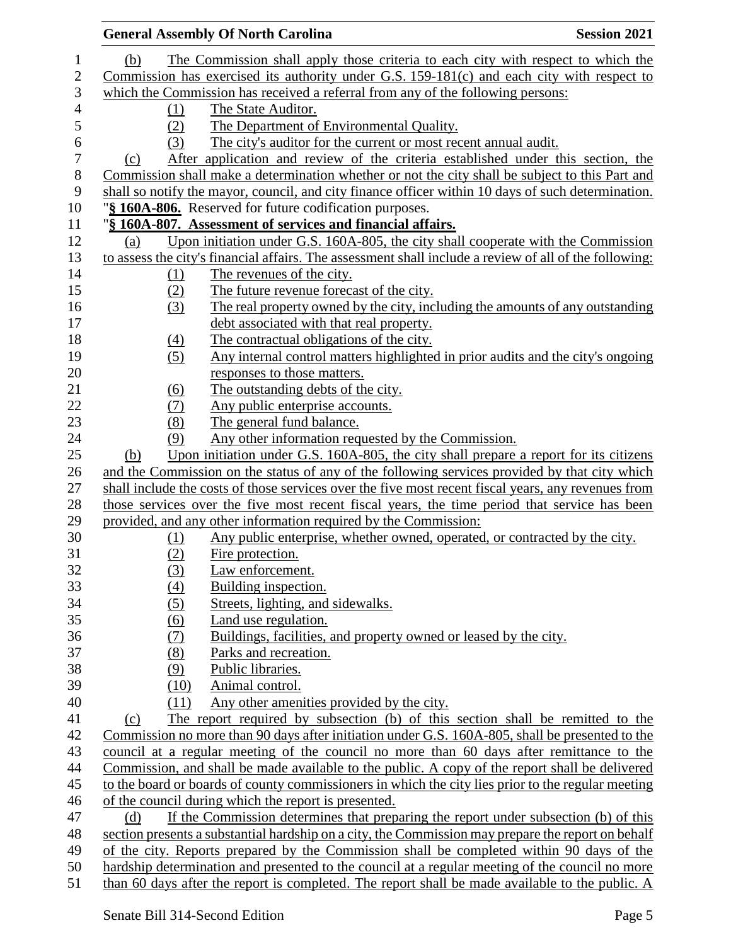|     |                  | <b>General Assembly Of North Carolina</b>                                                              | <b>Session 2021</b> |
|-----|------------------|--------------------------------------------------------------------------------------------------------|---------------------|
| (b) |                  | The Commission shall apply those criteria to each city with respect to which the                       |                     |
|     |                  | Commission has exercised its authority under G.S. 159-181(c) and each city with respect to             |                     |
|     |                  | which the Commission has received a referral from any of the following persons:                        |                     |
|     | (1)              | The State Auditor.                                                                                     |                     |
|     | (2)              | The Department of Environmental Quality.                                                               |                     |
|     | (3)              | The city's auditor for the current or most recent annual audit.                                        |                     |
| (c) |                  | After application and review of the criteria established under this section, the                       |                     |
|     |                  | Commission shall make a determination whether or not the city shall be subject to this Part and        |                     |
|     |                  | shall so notify the mayor, council, and city finance officer within 10 days of such determination.     |                     |
|     |                  | "§ 160A-806. Reserved for future codification purposes.                                                |                     |
|     |                  | "§ 160A-807. Assessment of services and financial affairs.                                             |                     |
| (a) |                  | Upon initiation under G.S. 160A-805, the city shall cooperate with the Commission                      |                     |
|     |                  | to assess the city's financial affairs. The assessment shall include a review of all of the following: |                     |
|     | (1)              | The revenues of the city.                                                                              |                     |
|     | (2)              | The future revenue forecast of the city.                                                               |                     |
|     | (3)              | The real property owned by the city, including the amounts of any outstanding                          |                     |
|     |                  | debt associated with that real property.                                                               |                     |
|     | $\left(4\right)$ | The contractual obligations of the city.                                                               |                     |
|     | (5)              | Any internal control matters highlighted in prior audits and the city's ongoing                        |                     |
|     |                  | responses to those matters.                                                                            |                     |
|     | (6)              | The outstanding debts of the city.                                                                     |                     |
|     | (7)              | Any public enterprise accounts.                                                                        |                     |
|     | (8)              | The general fund balance.                                                                              |                     |
|     | (9)              | Any other information requested by the Commission.                                                     |                     |
| (b) |                  | Upon initiation under G.S. 160A-805, the city shall prepare a report for its citizens                  |                     |
|     |                  | and the Commission on the status of any of the following services provided by that city which          |                     |
|     |                  | shall include the costs of those services over the five most recent fiscal years, any revenues from    |                     |
|     |                  | those services over the five most recent fiscal years, the time period that service has been           |                     |
|     |                  | provided, and any other information required by the Commission:                                        |                     |
|     | (1)              | Any public enterprise, whether owned, operated, or contracted by the city.                             |                     |
|     | (2)              | Fire protection.                                                                                       |                     |
|     | (3)              | Law enforcement.                                                                                       |                     |
|     | (4)              | Building inspection.                                                                                   |                     |
|     | (5)              | Streets, lighting, and sidewalks.                                                                      |                     |
|     | (6)              | Land use regulation.                                                                                   |                     |
|     | (7)              | Buildings, facilities, and property owned or leased by the city.                                       |                     |
|     | (8)              | Parks and recreation.                                                                                  |                     |
|     | (9)              | Public libraries.                                                                                      |                     |
|     | (10)             | Animal control.                                                                                        |                     |
|     | (11)             | Any other amenities provided by the city.                                                              |                     |
| (c) |                  | The report required by subsection (b) of this section shall be remitted to the                         |                     |
|     |                  | Commission no more than 90 days after initiation under G.S. 160A-805, shall be presented to the        |                     |
|     |                  | council at a regular meeting of the council no more than 60 days after remittance to the               |                     |
|     |                  | Commission, and shall be made available to the public. A copy of the report shall be delivered         |                     |
|     |                  | to the board or boards of county commissioners in which the city lies prior to the regular meeting     |                     |
|     |                  | of the council during which the report is presented.                                                   |                     |
| (d) |                  | If the Commission determines that preparing the report under subsection (b) of this                    |                     |
|     |                  | section presents a substantial hardship on a city, the Commission may prepare the report on behalf     |                     |
|     |                  | of the city. Reports prepared by the Commission shall be completed within 90 days of the               |                     |
|     |                  | hardship determination and presented to the council at a regular meeting of the council no more        |                     |
|     |                  | than 60 days after the report is completed. The report shall be made available to the public. A        |                     |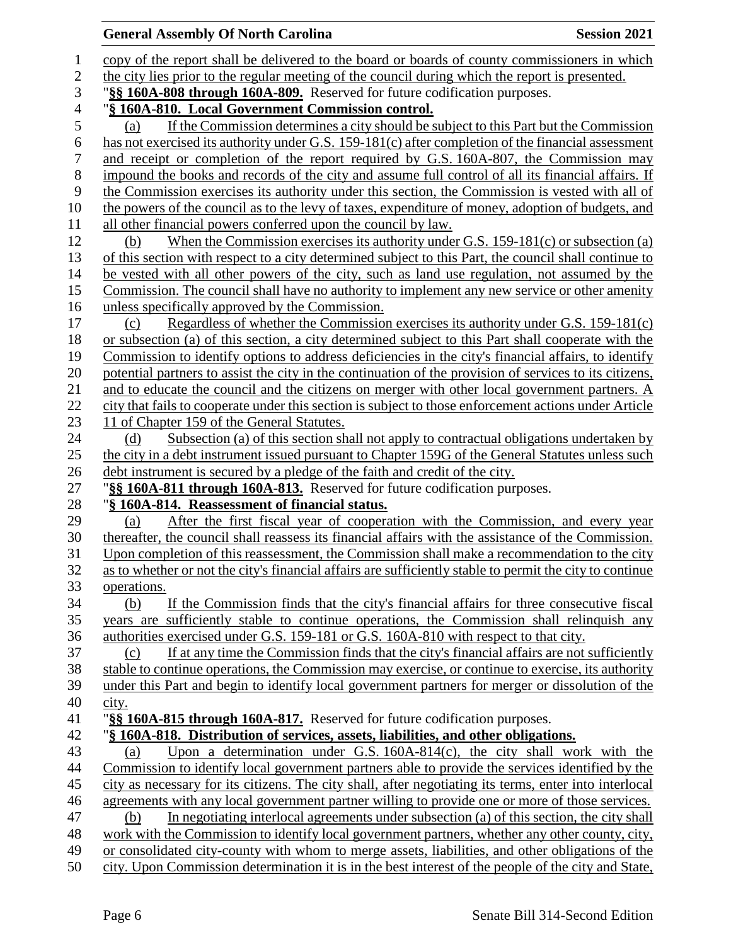## **General Assembly Of North Carolina Session 2021**  copy of the report shall be delivered to the board or boards of county commissioners in which the city lies prior to the regular meeting of the council during which the report is presented. "**§§ 160A-808 through 160A-809.** Reserved for future codification purposes. "**§ 160A-810. Local Government Commission control.** (a) If the Commission determines a city should be subject to this Part but the Commission has not exercised its authority under G.S. 159-181(c) after completion of the financial assessment and receipt or completion of the report required by G.S. 160A-807, the Commission may impound the books and records of the city and assume full control of all its financial affairs. If the Commission exercises its authority under this section, the Commission is vested with all of the powers of the council as to the levy of taxes, expenditure of money, adoption of budgets, and all other financial powers conferred upon the council by law. (b) When the Commission exercises its authority under G.S. 159-181(c) or subsection (a) of this section with respect to a city determined subject to this Part, the council shall continue to be vested with all other powers of the city, such as land use regulation, not assumed by the Commission. The council shall have no authority to implement any new service or other amenity unless specifically approved by the Commission. (c) Regardless of whether the Commission exercises its authority under G.S. 159-181(c) or subsection (a) of this section, a city determined subject to this Part shall cooperate with the Commission to identify options to address deficiencies in the city's financial affairs, to identify potential partners to assist the city in the continuation of the provision of services to its citizens, and to educate the council and the citizens on merger with other local government partners. A city that fails to cooperate under this section is subject to those enforcement actions under Article 23 11 of Chapter 159 of the General Statutes. 24 (d) Subsection (a) of this section shall not apply to contractual obligations undertaken by the city in a debt instrument issued pursuant to Chapter 159G of the General Statutes unless such debt instrument is secured by a pledge of the faith and credit of the city. "**§§ 160A-811 through 160A-813.** Reserved for future codification purposes. "**§ 160A-814. Reassessment of financial status.** (a) After the first fiscal year of cooperation with the Commission, and every year thereafter, the council shall reassess its financial affairs with the assistance of the Commission. Upon completion of this reassessment, the Commission shall make a recommendation to the city as to whether or not the city's financial affairs are sufficiently stable to permit the city to continue operations. (b) If the Commission finds that the city's financial affairs for three consecutive fiscal years are sufficiently stable to continue operations, the Commission shall relinquish any authorities exercised under G.S. 159-181 or G.S. 160A-810 with respect to that city. (c) If at any time the Commission finds that the city's financial affairs are not sufficiently stable to continue operations, the Commission may exercise, or continue to exercise, its authority under this Part and begin to identify local government partners for merger or dissolution of the city. "**§§ 160A-815 through 160A-817.** Reserved for future codification purposes. "**§ 160A-818. Distribution of services, assets, liabilities, and other obligations.** (a) Upon a determination under G.S. 160A-814(c), the city shall work with the Commission to identify local government partners able to provide the services identified by the city as necessary for its citizens. The city shall, after negotiating its terms, enter into interlocal agreements with any local government partner willing to provide one or more of those services. (b) In negotiating interlocal agreements under subsection (a) of this section, the city shall work with the Commission to identify local government partners, whether any other county, city, or consolidated city-county with whom to merge assets, liabilities, and other obligations of the city. Upon Commission determination it is in the best interest of the people of the city and State,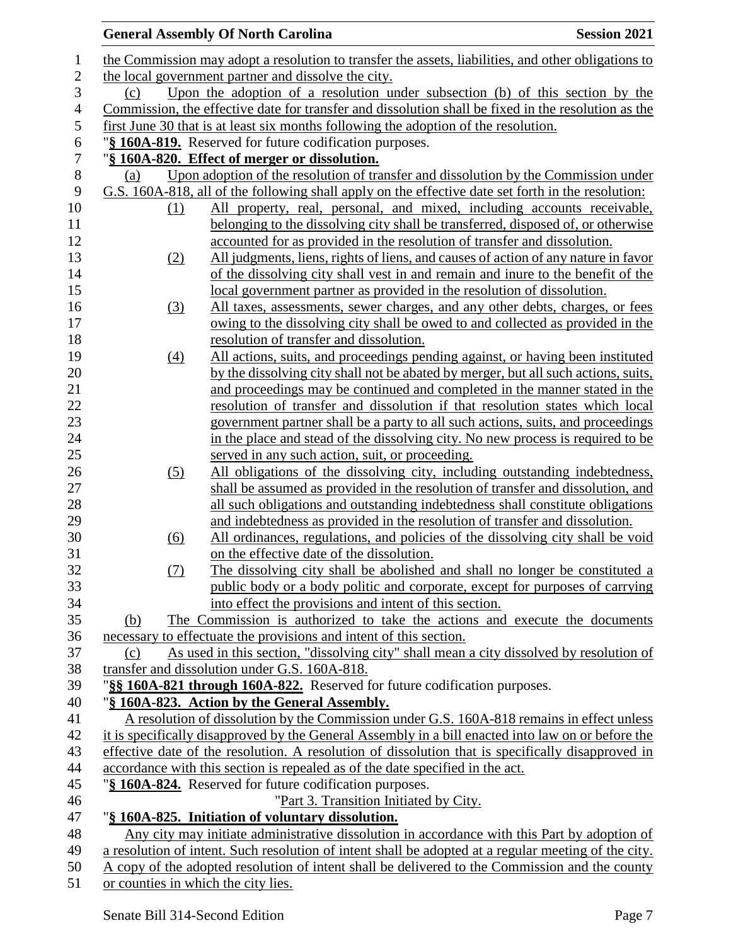|                  |                                     | <b>General Assembly Of North Carolina</b><br><b>Session 2021</b>                                                                         |
|------------------|-------------------------------------|------------------------------------------------------------------------------------------------------------------------------------------|
| 1                |                                     | the Commission may adopt a resolution to transfer the assets, liabilities, and other obligations to                                      |
| $\sqrt{2}$       |                                     | the local government partner and dissolve the city.                                                                                      |
| 3                | (c)                                 | Upon the adoption of a resolution under subsection (b) of this section by the                                                            |
| $\overline{4}$   |                                     | Commission, the effective date for transfer and dissolution shall be fixed in the resolution as the                                      |
| $\mathfrak s$    |                                     | first June 30 that is at least six months following the adoption of the resolution.                                                      |
| $\boldsymbol{6}$ |                                     | "§ 160A-819. Reserved for future codification purposes.                                                                                  |
| $\overline{7}$   |                                     | "§ 160A-820. Effect of merger or dissolution.                                                                                            |
| $8\,$            | (a)                                 | Upon adoption of the resolution of transfer and dissolution by the Commission under                                                      |
| 9                |                                     | G.S. 160A-818, all of the following shall apply on the effective date set forth in the resolution:                                       |
| 10               | (1)                                 | All property, real, personal, and mixed, including accounts receivable,                                                                  |
| 11               |                                     | belonging to the dissolving city shall be transferred, disposed of, or otherwise                                                         |
| 12               |                                     | accounted for as provided in the resolution of transfer and dissolution.                                                                 |
| 13               | (2)                                 | All judgments, liens, rights of liens, and causes of action of any nature in favor                                                       |
| 14               |                                     | of the dissolving city shall vest in and remain and inure to the benefit of the                                                          |
| 15               |                                     | local government partner as provided in the resolution of dissolution.                                                                   |
| 16               | (3)                                 | All taxes, assessments, sewer charges, and any other debts, charges, or fees                                                             |
| 17               |                                     | owing to the dissolving city shall be owed to and collected as provided in the                                                           |
| 18               |                                     | resolution of transfer and dissolution.                                                                                                  |
| 19               | $\left(4\right)$                    | All actions, suits, and proceedings pending against, or having been instituted                                                           |
| 20               |                                     | by the dissolving city shall not be abated by merger, but all such actions, suits,                                                       |
| 21               |                                     | and proceedings may be continued and completed in the manner stated in the                                                               |
| 22               |                                     | resolution of transfer and dissolution if that resolution states which local                                                             |
| 23               |                                     | government partner shall be a party to all such actions, suits, and proceedings                                                          |
| 24               |                                     | in the place and stead of the dissolving city. No new process is required to be                                                          |
| 25               |                                     | served in any such action, suit, or proceeding.                                                                                          |
| 26               | (5)                                 | All obligations of the dissolving city, including outstanding indebtedness,                                                              |
| 27               |                                     | shall be assumed as provided in the resolution of transfer and dissolution, and                                                          |
| 28               |                                     | all such obligations and outstanding indebtedness shall constitute obligations                                                           |
| 29               |                                     | and indebtedness as provided in the resolution of transfer and dissolution.                                                              |
| 30               | (6)                                 | All ordinances, regulations, and policies of the dissolving city shall be void                                                           |
| 31               |                                     | on the effective date of the dissolution.                                                                                                |
| 32               | (7)                                 | The dissolving city shall be abolished and shall no longer be constituted a                                                              |
| 33               |                                     | public body or a body politic and corporate, except for purposes of carrying                                                             |
| 34               |                                     | into effect the provisions and intent of this section.                                                                                   |
| 35               | (b)                                 | The Commission is authorized to take the actions and execute the documents                                                               |
| 36               |                                     | necessary to effectuate the provisions and intent of this section.                                                                       |
| 37<br>38         | (c)                                 | As used in this section, "dissolving city" shall mean a city dissolved by resolution of<br>transfer and dissolution under G.S. 160A-818. |
| 39               |                                     | "§§ 160A-821 through 160A-822. Reserved for future codification purposes.                                                                |
| 40               |                                     | "§ 160A-823. Action by the General Assembly.                                                                                             |
| 41               |                                     | A resolution of dissolution by the Commission under G.S. 160A-818 remains in effect unless                                               |
| 42               |                                     | it is specifically disapproved by the General Assembly in a bill enacted into law on or before the                                       |
| 43               |                                     | effective date of the resolution. A resolution of dissolution that is specifically disapproved in                                        |
| 44               |                                     | accordance with this section is repealed as of the date specified in the act.                                                            |
| 45               |                                     | "§ 160A-824. Reserved for future codification purposes.                                                                                  |
| 46               |                                     | "Part 3. Transition Initiated by City.                                                                                                   |
| 47               |                                     | "§ 160A-825. Initiation of voluntary dissolution.                                                                                        |
| 48               |                                     | Any city may initiate administrative dissolution in accordance with this Part by adoption of                                             |
| 49               |                                     | a resolution of intent. Such resolution of intent shall be adopted at a regular meeting of the city.                                     |
| 50               |                                     | A copy of the adopted resolution of intent shall be delivered to the Commission and the county                                           |
| 51               | or counties in which the city lies. |                                                                                                                                          |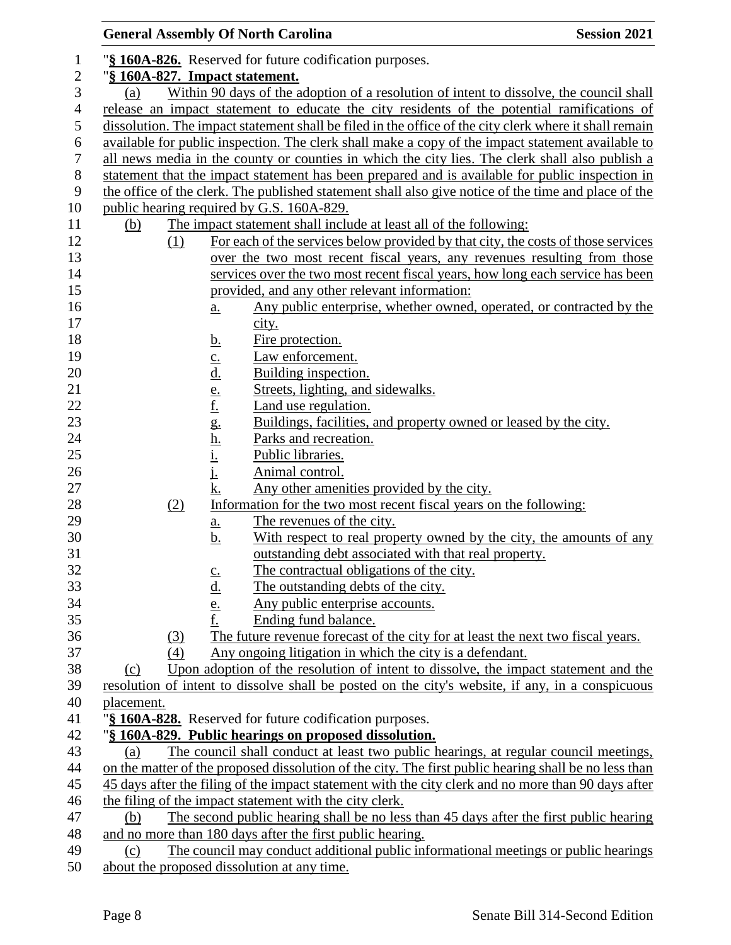|                          |                   | <b>General Assembly Of North Carolina</b>                                                                                                                                                 | <b>Session 2021</b>                                                                                    |
|--------------------------|-------------------|-------------------------------------------------------------------------------------------------------------------------------------------------------------------------------------------|--------------------------------------------------------------------------------------------------------|
| $\mathbf{1}$             |                   | "§ 160A-826. Reserved for future codification purposes.                                                                                                                                   |                                                                                                        |
| $\sqrt{2}$               |                   | "§ 160A-827. Impact statement.                                                                                                                                                            |                                                                                                        |
| 3                        | (a)               |                                                                                                                                                                                           | Within 90 days of the adoption of a resolution of intent to dissolve, the council shall                |
| $\overline{\mathcal{A}}$ |                   |                                                                                                                                                                                           | release an impact statement to educate the city residents of the potential ramifications of            |
| 5                        |                   |                                                                                                                                                                                           | dissolution. The impact statement shall be filed in the office of the city clerk where it shall remain |
| 6                        |                   |                                                                                                                                                                                           | available for public inspection. The clerk shall make a copy of the impact statement available to      |
| 7                        |                   |                                                                                                                                                                                           | all news media in the county or counties in which the city lies. The clerk shall also publish a        |
| $8\,$                    |                   |                                                                                                                                                                                           | statement that the impact statement has been prepared and is available for public inspection in        |
| 9                        |                   |                                                                                                                                                                                           | the office of the clerk. The published statement shall also give notice of the time and place of the   |
| 10                       |                   | public hearing required by G.S. 160A-829.                                                                                                                                                 |                                                                                                        |
| 11                       | <u>(b)</u>        | The impact statement shall include at least all of the following:                                                                                                                         |                                                                                                        |
| 12                       | (1)               |                                                                                                                                                                                           | For each of the services below provided by that city, the costs of those services                      |
| 13                       |                   |                                                                                                                                                                                           | over the two most recent fiscal years, any revenues resulting from those                               |
| 14                       |                   |                                                                                                                                                                                           | services over the two most recent fiscal years, how long each service has been                         |
| 15                       |                   | provided, and any other relevant information:                                                                                                                                             |                                                                                                        |
|                          |                   |                                                                                                                                                                                           | Any public enterprise, whether owned, operated, or contracted by the                                   |
| 16<br>17                 |                   | <u>a.</u>                                                                                                                                                                                 |                                                                                                        |
| 18                       |                   | city.                                                                                                                                                                                     |                                                                                                        |
| 19                       |                   | Fire protection.<br><u>b.</u>                                                                                                                                                             |                                                                                                        |
| 20                       |                   | Law enforcement.<br>Building inspection.                                                                                                                                                  |                                                                                                        |
| 21                       |                   | Streets, lighting, and sidewalks.                                                                                                                                                         |                                                                                                        |
| 22                       |                   | Land use regulation.                                                                                                                                                                      |                                                                                                        |
| 23                       |                   |                                                                                                                                                                                           | Buildings, facilities, and property owned or leased by the city.                                       |
| 24                       |                   | Parks and recreation.                                                                                                                                                                     |                                                                                                        |
| 25                       |                   | $\underline{c}$ .<br>$\underline{d}$ .<br>$\underline{e}$ .<br>$\underline{f}$ .<br>$\underline{e}$ .<br>$\underline{h}$ .<br>$\underline{h}$ .<br>$\underline{i}$ .<br>$\underline{i}$ . |                                                                                                        |
| 26                       |                   | Public libraries.<br>Animal control.                                                                                                                                                      |                                                                                                        |
| 27                       |                   | k.                                                                                                                                                                                        |                                                                                                        |
| 28                       |                   | Any other amenities provided by the city.<br>Information for the two most recent fiscal years on the following:                                                                           |                                                                                                        |
| 29                       | (2)               | The revenues of the city.                                                                                                                                                                 |                                                                                                        |
| 30                       |                   | <u>a.</u>                                                                                                                                                                                 | With respect to real property owned by the city, the amounts of any                                    |
| 31                       |                   | <u>b.</u><br>outstanding debt associated with that real property.                                                                                                                         |                                                                                                        |
| 32                       |                   | The contractual obligations of the city.                                                                                                                                                  |                                                                                                        |
| 33                       |                   | $rac{c}{d}$<br>The outstanding debts of the city.                                                                                                                                         |                                                                                                        |
| 34                       |                   | Any public enterprise accounts.                                                                                                                                                           |                                                                                                        |
| 35                       |                   | $\frac{e}{f}$ .<br>Ending fund balance.                                                                                                                                                   |                                                                                                        |
|                          |                   |                                                                                                                                                                                           | The future revenue forecast of the city for at least the next two fiscal years.                        |
| 36<br>37                 | <u>(3)</u><br>(4) | Any ongoing litigation in which the city is a defendant.                                                                                                                                  |                                                                                                        |
| 38                       | (c)               |                                                                                                                                                                                           | Upon adoption of the resolution of intent to dissolve, the impact statement and the                    |
| 39                       |                   |                                                                                                                                                                                           | resolution of intent to dissolve shall be posted on the city's website, if any, in a conspicuous       |
| 40                       | placement.        |                                                                                                                                                                                           |                                                                                                        |
| 41                       |                   | "§ 160A-828. Reserved for future codification purposes.                                                                                                                                   |                                                                                                        |
| 42                       |                   | "§ 160A-829. Public hearings on proposed dissolution.                                                                                                                                     |                                                                                                        |
| 43                       | (a)               |                                                                                                                                                                                           | The council shall conduct at least two public hearings, at regular council meetings,                   |
| 44                       |                   |                                                                                                                                                                                           | on the matter of the proposed dissolution of the city. The first public hearing shall be no less than  |
| 45                       |                   |                                                                                                                                                                                           | 45 days after the filing of the impact statement with the city clerk and no more than 90 days after    |
| 46                       |                   | the filing of the impact statement with the city clerk.                                                                                                                                   |                                                                                                        |
| 47                       | (b)               |                                                                                                                                                                                           | The second public hearing shall be no less than 45 days after the first public hearing                 |
| 48                       |                   | and no more than 180 days after the first public hearing.                                                                                                                                 |                                                                                                        |
| 49                       | (c)               |                                                                                                                                                                                           | The council may conduct additional public informational meetings or public hearings                    |
| 50                       |                   | about the proposed dissolution at any time.                                                                                                                                               |                                                                                                        |
|                          |                   |                                                                                                                                                                                           |                                                                                                        |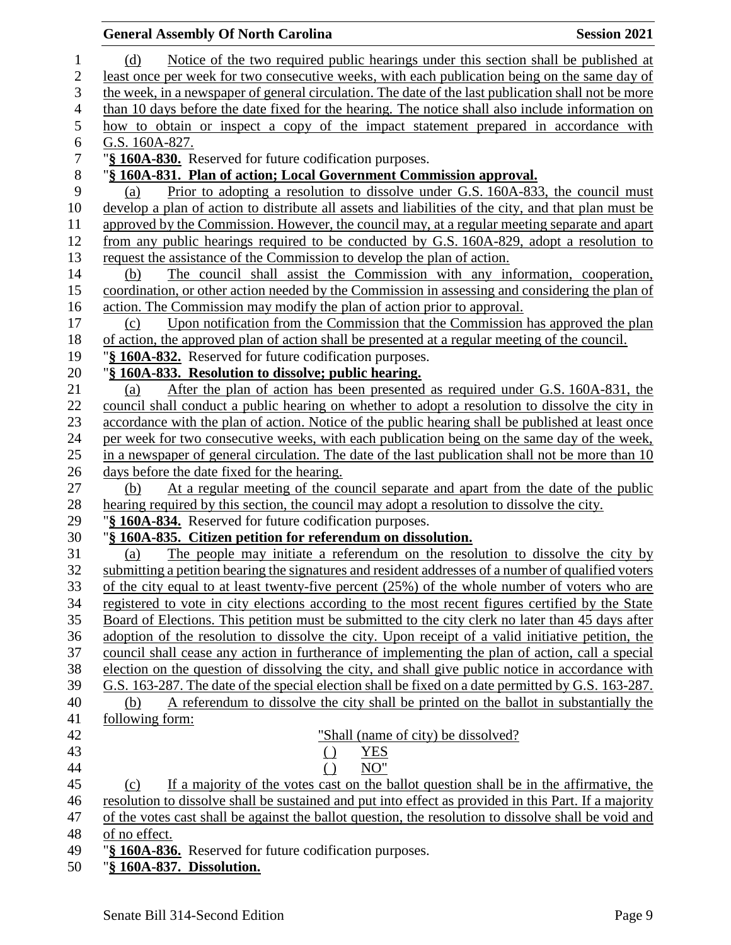| <b>General Assembly Of North Carolina</b>                                                                                                        | <b>Session 2021</b> |
|--------------------------------------------------------------------------------------------------------------------------------------------------|---------------------|
| Notice of the two required public hearings under this section shall be published at<br>(d)                                                       |                     |
| least once per week for two consecutive weeks, with each publication being on the same day of                                                    |                     |
| the week, in a newspaper of general circulation. The date of the last publication shall not be more                                              |                     |
| than 10 days before the date fixed for the hearing. The notice shall also include information on                                                 |                     |
| how to obtain or inspect a copy of the impact statement prepared in accordance with                                                              |                     |
| G.S. 160A-827.                                                                                                                                   |                     |
| "§ 160A-830. Reserved for future codification purposes.                                                                                          |                     |
| "§ 160A-831. Plan of action; Local Government Commission approval.                                                                               |                     |
| Prior to adopting a resolution to dissolve under G.S. 160A-833, the council must<br>(a)                                                          |                     |
| develop a plan of action to distribute all assets and liabilities of the city, and that plan must be                                             |                     |
| approved by the Commission. However, the council may, at a regular meeting separate and apart                                                    |                     |
| from any public hearings required to be conducted by G.S. 160A-829, adopt a resolution to                                                        |                     |
| request the assistance of the Commission to develop the plan of action.                                                                          |                     |
| The council shall assist the Commission with any information, cooperation,<br>(b)                                                                |                     |
| coordination, or other action needed by the Commission in assessing and considering the plan of                                                  |                     |
| action. The Commission may modify the plan of action prior to approval.                                                                          |                     |
| Upon notification from the Commission that the Commission has approved the plan<br>(c)                                                           |                     |
| of action, the approved plan of action shall be presented at a regular meeting of the council.                                                   |                     |
| "§ 160A-832. Reserved for future codification purposes.                                                                                          |                     |
| "§ 160A-833. Resolution to dissolve; public hearing.                                                                                             |                     |
| After the plan of action has been presented as required under G.S. 160A-831, the<br>(a)                                                          |                     |
| council shall conduct a public hearing on whether to adopt a resolution to dissolve the city in                                                  |                     |
| accordance with the plan of action. Notice of the public hearing shall be published at least once                                                |                     |
| per week for two consecutive weeks, with each publication being on the same day of the week,                                                     |                     |
| in a newspaper of general circulation. The date of the last publication shall not be more than 10<br>days before the date fixed for the hearing. |                     |
| At a regular meeting of the council separate and apart from the date of the public<br>(b)                                                        |                     |
| hearing required by this section, the council may adopt a resolution to dissolve the city.                                                       |                     |
| "§ 160A-834. Reserved for future codification purposes.                                                                                          |                     |
| "§ 160A-835. Citizen petition for referendum on dissolution.                                                                                     |                     |
| The people may initiate a referendum on the resolution to dissolve the city by<br>(a)                                                            |                     |
| submitting a petition bearing the signatures and resident addresses of a number of qualified voters                                              |                     |
| of the city equal to at least twenty-five percent $(25%)$ of the whole number of voters who are                                                  |                     |
| registered to vote in city elections according to the most recent figures certified by the State                                                 |                     |
| Board of Elections. This petition must be submitted to the city clerk no later than 45 days after                                                |                     |
| adoption of the resolution to dissolve the city. Upon receipt of a valid initiative petition, the                                                |                     |
| council shall cease any action in furtherance of implementing the plan of action, call a special                                                 |                     |
| election on the question of dissolving the city, and shall give public notice in accordance with                                                 |                     |
| G.S. 163-287. The date of the special election shall be fixed on a date permitted by G.S. 163-287.                                               |                     |
| A referendum to dissolve the city shall be printed on the ballot in substantially the<br>(b)                                                     |                     |
| following form:                                                                                                                                  |                     |
| "Shall (name of city) be dissolved?                                                                                                              |                     |
| <b>YES</b><br>$\left( \right)$                                                                                                                   |                     |
| $\left( \right)$<br>NO"                                                                                                                          |                     |
| If a majority of the votes cast on the ballot question shall be in the affirmative, the<br>(c)                                                   |                     |
| resolution to dissolve shall be sustained and put into effect as provided in this Part. If a majority                                            |                     |
| of the votes cast shall be against the ballot question, the resolution to dissolve shall be void and                                             |                     |
| of no effect.                                                                                                                                    |                     |
| "§ 160A-836. Reserved for future codification purposes.                                                                                          |                     |
| "§ 160A-837. Dissolution.                                                                                                                        |                     |